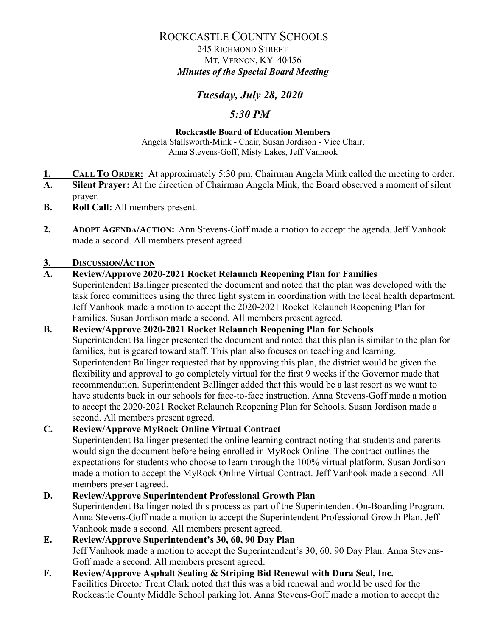### ROCKCASTLE COUNTY SCHOOLS

 245 RICHMOND STREET MT. VERNON, KY 40456 *Minutes of the Special Board Meeting*

## *Tuesday, July 28, 2020*

### *5:30 PM*

#### **Rockcastle Board of Education Members**

Angela Stallsworth-Mink - Chair, Susan Jordison - Vice Chair, Anna Stevens-Goff, Misty Lakes, Jeff Vanhook

- **1. CALL TO ORDER:** At approximately 5:30 pm, Chairman Angela Mink called the meeting to order.<br>**A** Silent Prayer: At the direction of Chairman Angela Mink, the Board observed a moment of silent
- **Silent Prayer:** At the direction of Chairman Angela Mink, the Board observed a moment of silent prayer.
- **B. Roll Call:** All members present.
- **2. ADOPT AGENDA/ACTION:** Ann Stevens-Goff made a motion to accept the agenda. Jeff Vanhook made a second. All members present agreed.

#### **3. DISCUSSION/ACTION**

### **A. Review/Approve 2020-2021 Rocket Relaunch Reopening Plan for Families**

Superintendent Ballinger presented the document and noted that the plan was developed with the task force committees using the three light system in coordination with the local health department. Jeff Vanhook made a motion to accept the 2020-2021 Rocket Relaunch Reopening Plan for Families. Susan Jordison made a second. All members present agreed.

#### **B. Review/Approve 2020-2021 Rocket Relaunch Reopening Plan for Schools** Superintendent Ballinger presented the document and noted that this plan is similar to the plan for families, but is geared toward staff. This plan also focuses on teaching and learning. Superintendent Ballinger requested that by approving this plan, the district would be given the flexibility and approval to go completely virtual for the first 9 weeks if the Governor made that recommendation. Superintendent Ballinger added that this would be a last resort as we want to have students back in our schools for face-to-face instruction. Anna Stevens-Goff made a motion to accept the 2020-2021 Rocket Relaunch Reopening Plan for Schools. Susan Jordison made a second. All members present agreed.

### **C. Review/Approve MyRock Online Virtual Contract**

Superintendent Ballinger presented the online learning contract noting that students and parents would sign the document before being enrolled in MyRock Online. The contract outlines the expectations for students who choose to learn through the 100% virtual platform. Susan Jordison made a motion to accept the MyRock Online Virtual Contract. Jeff Vanhook made a second. All members present agreed.

# **D. Review/Approve Superintendent Professional Growth Plan**

Superintendent Ballinger noted this process as part of the Superintendent On-Boarding Program. Anna Stevens-Goff made a motion to accept the Superintendent Professional Growth Plan. Jeff Vanhook made a second. All members present agreed.

#### **E. Review/Approve Superintendent's 30, 60, 90 Day Plan** Jeff Vanhook made a motion to accept the Superintendent's 30, 60, 90 Day Plan. Anna Stevens-Goff made a second. All members present agreed.

**F. Review/Approve Asphalt Sealing & Striping Bid Renewal with Dura Seal, Inc.** Facilities Director Trent Clark noted that this was a bid renewal and would be used for the Rockcastle County Middle School parking lot. Anna Stevens-Goff made a motion to accept the